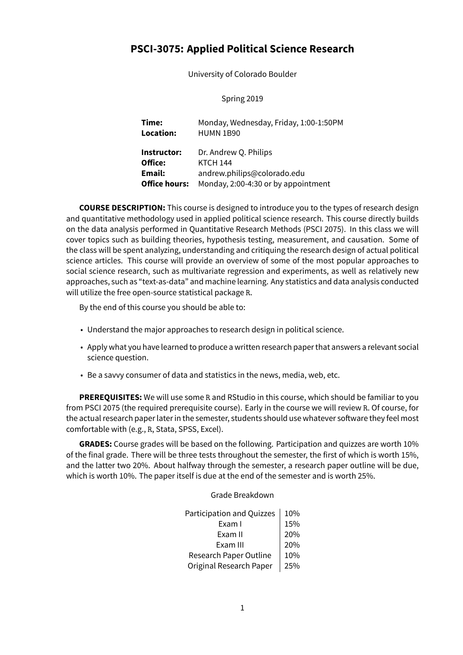# **PSCI-3075: Applied Political Science Research**

University of Colorado Boulder

Spring 2019

**Time:** Monday, Wednesday, Friday, 1:00-1:50PM **Location:** HUMN 1B90 **Instructor:** Dr. Andrew Q. Philips **Office:** KTCH 144 **Email:** andrew.philips@colorado.edu **Office hours:** Monday, 2:00-4:30 or by appointment

**COURSE DESCRIPTION:** This course is designed to introduce you to the types of research design and quantitative methodology used in applied political science research. This course directly builds on the data analysis performed in Quantitative Research Methods (PSCI 2075). In this class we will cover topics such as building theories, hypothesis testing, measurement, and causation. Some of the class will be spent analyzing, understanding and critiquing the research design of actual political science articles. This course will provide an overview of some of the most popular approaches to social science research, such as multivariate regression and experiments, as well as relatively new approaches, such as "text-as-data" and machine learning. Any statistics and data analysis conducted will utilize the free open-source statistical package R.

By the end of this course you should be able to:

- Understand the major approaches to research design in political science.
- Apply what you have learned to produce a written research paper that answers a relevant social science question.
- Be a savvy consumer of data and statistics in the news, media, web, etc.

**PREREQUISITES:** We will use some R and RStudio in this course, which should be familiar to you from PSCI 2075 (the required prerequisite course). Early in the course we will review R. Of course, for the actual research paper later in the semester, students should use whatever software they feel most comfortable with (e.g., R, Stata, SPSS, Excel).

**GRADES:** Course grades will be based on the following. Participation and quizzes are worth 10% of the final grade. There will be three tests throughout the semester, the first of which is worth 15%, and the latter two 20%. About halfway through the semester, a research paper outline will be due, which is worth 10%. The paper itself is due at the end of the semester and is worth 25%.

Grade Breakdown

| Participation and Quizzes | 10% |
|---------------------------|-----|
| Exam I                    | 15% |
| Exam II                   | 20% |
| Exam III                  | 20% |
| Research Paper Outline    | 10% |
| Original Research Paper   | 25% |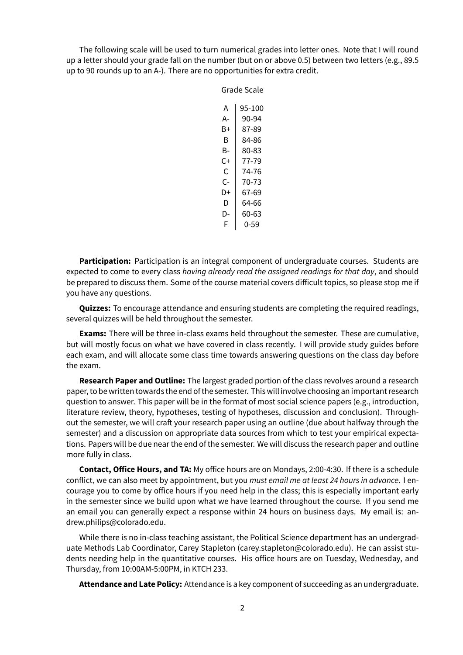The following scale will be used to turn numerical grades into letter ones. Note that I will round up a letter should your grade fall on the number (but on or above 0.5) between two letters (e.g., 89.5 up to 90 rounds up to an A-). There are no opportunities for extra credit.

Grade Scale

 $A$  | 95-100  $A - 90-94$  $B+$  87-89  $B$  84-86  $B - 80 - 83$  $C+$  77-79  $C$  | 74-76  $C-$  70-73  $D+$  67-69  $D \mid 64-66$  $D - 60 - 63$  $F | 0-59$ 

**Participation:** Participation is an integral component of undergraduate courses. Students are expected to come to every class *having already read the assigned readings for that day*, and should be prepared to discuss them. Some of the course material covers difficult topics, so please stop me if you have any questions.

**Quizzes:** To encourage attendance and ensuring students are completing the required readings, several quizzes will be held throughout the semester.

**Exams:** There will be three in-class exams held throughout the semester. These are cumulative, but will mostly focus on what we have covered in class recently. I will provide study guides before each exam, and will allocate some class time towards answering questions on the class day before the exam.

**Research Paper and Outline:** The largest graded portion of the class revolves around a research paper, to be written towards the end of the semester. This will involve choosing an important research question to answer. This paper will be in the format of most social science papers (e.g., introduction, literature review, theory, hypotheses, testing of hypotheses, discussion and conclusion). Throughout the semester, we will craft your research paper using an outline (due about halfway through the semester) and a discussion on appropriate data sources from which to test your empirical expectations. Papers will be due near the end of the semester. We will discuss the research paper and outline more fully in class.

**Contact, Office Hours, and TA:** My office hours are on Mondays, 2:00-4:30. If there is a schedule conflict, we can also meet by appointment, but you *must email me at least 24 hours in advance*. I encourage you to come by office hours if you need help in the class; this is especially important early in the semester since we build upon what we have learned throughout the course. If you send me an email you can generally expect a response within 24 hours on business days. My email is: andrew.philips@colorado.edu.

While there is no in-class teaching assistant, the Political Science department has an undergraduate Methods Lab Coordinator, Carey Stapleton (carey.stapleton@colorado.edu). He can assist students needing help in the quantitative courses. His office hours are on Tuesday, Wednesday, and Thursday, from 10:00AM-5:00PM, in KTCH 233.

**Attendance and Late Policy:** Attendance is a key component of succeeding as an undergraduate.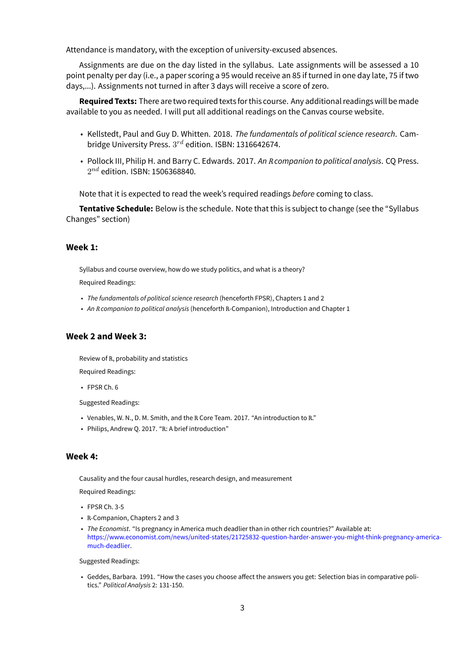Attendance is mandatory, with the exception of university-excused absences.

Assignments are due on the day listed in the syllabus. Late assignments will be assessed a 10 point penalty per day (i.e., a paper scoring a 95 would receive an 85 if turned in one day late, 75 if two days,...). Assignments not turned in after 3 days will receive a score of zero.

**Required Texts:** There are two required textsfor this course. Any additional readings will be made available to you as needed. I will put all additional readings on the Canvas course website.

- Kellstedt, Paul and Guy D. Whitten. 2018. *The fundamentals of political science research*. Cambridge University Press.  $3^{rd}$  edition. ISBN: 1316642674.
- Pollock III, Philip H. and Barry C. Edwards. 2017. *An R companion to political analysis*. CQ Press.  $2^{nd}$  edition. ISBN: 1506368840.

Note that it is expected to read the week's required readings *before* coming to class.

**Tentative Schedule:** Below is the schedule. Note that this is subject to change (see the "Syllabus Changes" section)

#### **Week 1:**

Syllabus and course overview, how do we study politics, and what is a theory? Required Readings:

- *The fundamentals of political science research* (henceforth FPSR), Chapters 1 and 2
- *An R companion to political analysis* (henceforth R-Companion), Introduction and Chapter 1

### **Week 2 and Week 3:**

Review of R, probability and statistics Required Readings:

• FPSR Ch. 6

Suggested Readings:

- Venables, W. N., D. M. Smith, and the R Core Team. 2017. "An introduction to R."
- Philips, Andrew Q. 2017. "R: A brief introduction"

#### **Week 4:**

Causality and the four causal hurdles, research design, and measurement

Required Readings:

- FPSR Ch. 3-5
- R-Companion, Chapters 2 and 3
- *The Economist*. "Is pregnancy in America much deadlier than in other rich countries?" Available at: [https://www.economist.com/news/united-states/21725832-question-harder-answer-you-might-think-pregnancy-america](https://www.economist.com/news/united-states/21725832-question-harder-answer-you-might-think-pregnancy-america-much-deadlier)[much-deadlier](https://www.economist.com/news/united-states/21725832-question-harder-answer-you-might-think-pregnancy-america-much-deadlier).

Suggested Readings:

• Geddes, Barbara. 1991. "How the cases you choose affect the answers you get: Selection bias in comparative politics." *Political Analysis* 2: 131-150.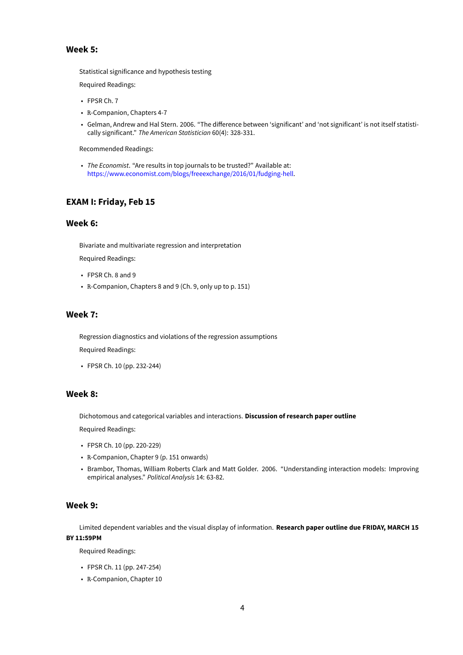### **Week 5:**

Statistical significance and hypothesis testing

Required Readings:

- FPSR Ch. 7
- R-Companion, Chapters 4-7
- Gelman, Andrew and Hal Stern. 2006. "The difference between 'significant' and 'not significant' is not itself statistically significant." *The American Statistician* 60(4): 328-331.

Recommended Readings:

• *The Economist*. "Are results in top journals to be trusted?" Available at: [https://www.economist.com/blogs/freeexchange/2016/01/fudging-hell.](https://www.economist.com/blogs/freeexchange/2016/01/fudging-hell)

### **EXAM I: Friday, Feb 15**

#### **Week 6:**

Bivariate and multivariate regression and interpretation

Required Readings:

- FPSR Ch. 8 and 9
- R-Companion, Chapters 8 and 9 (Ch. 9, only up to p. 151)

#### **Week 7:**

Regression diagnostics and violations of the regression assumptions

Required Readings:

• FPSR Ch. 10 (pp. 232-244)

### **Week 8:**

Dichotomous and categorical variables and interactions. **Discussion of research paper outline**

Required Readings:

- FPSR Ch. 10 (pp. 220-229)
- R-Companion, Chapter 9 (p. 151 onwards)
- Brambor, Thomas, William Roberts Clark and Matt Golder. 2006. "Understanding interaction models: Improving empirical analyses." *Political Analysis* 14: 63-82.

#### **Week 9:**

Limited dependent variables and the visual display of information. **Research paper outline due FRIDAY, MARCH 15 BY 11:59PM**

Required Readings:

- FPSR Ch. 11 (pp. 247-254)
- R-Companion, Chapter 10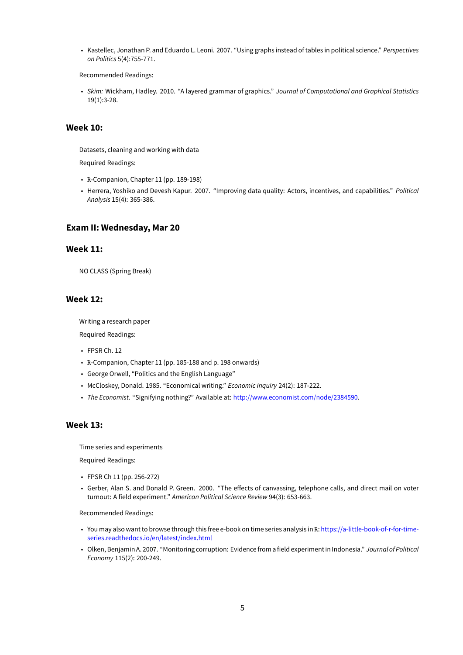• Kastellec, Jonathan P. and Eduardo L. Leoni. 2007. "Using graphs instead of tables in political science." *Perspectives on Politics* 5(4):755-771.

Recommended Readings:

• *Skim:* Wickham, Hadley. 2010. "A layered grammar of graphics." *Journal of Computational and Graphical Statistics* 19(1):3-28.

### **Week 10:**

Datasets, cleaning and working with data

Required Readings:

- R-Companion, Chapter 11 (pp. 189-198)
- Herrera, Yoshiko and Devesh Kapur. 2007. "Improving data quality: Actors, incentives, and capabilities." *Political Analysis* 15(4): 365-386.

### **Exam II: Wednesday, Mar 20**

#### **Week 11:**

NO CLASS (Spring Break)

#### **Week 12:**

Writing a research paper

Required Readings:

- FPSR Ch. 12
- R-Companion, Chapter 11 (pp. 185-188 and p. 198 onwards)
- George Orwell, "Politics and the English Language"
- McCloskey, Donald. 1985. "Economical writing." *Economic Inquiry* 24(2): 187-222.
- *The Economist*. "Signifying nothing?" Available at: <http://www.economist.com/node/2384590>.

### **Week 13:**

Time series and experiments

Required Readings:

- FPSR Ch 11 (pp. 256-272)
- Gerber, Alan S. and Donald P. Green. 2000. "The effects of canvassing, telephone calls, and direct mail on voter turnout: A field experiment." *American Political Science Review* 94(3): 653-663.

Recommended Readings:

- You may also want to browse through this free e-book on time series analysis in R: [https://a-little-book-of-r-for-time](https://a-little-book-of-r-for-time-series.readthedocs.io/en/latest/index.html)[series.readthedocs.io/en/latest/index.html](https://a-little-book-of-r-for-time-series.readthedocs.io/en/latest/index.html)
- Olken, Benjamin A. 2007. "Monitoring corruption: Evidencefrom afield experiment in Indonesia." *Journal of Political Economy* 115(2): 200-249.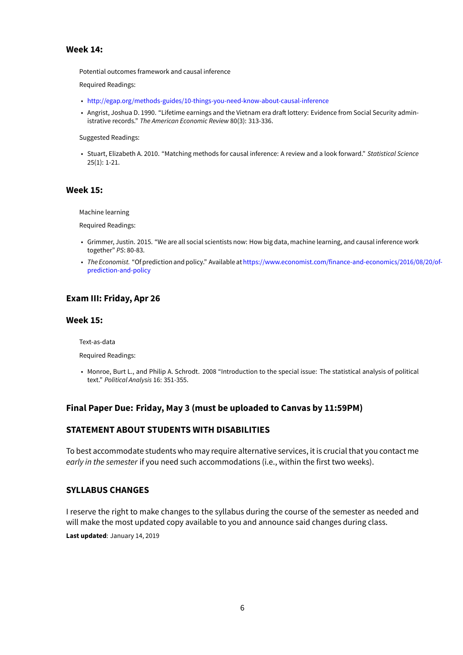### **Week 14:**

Potential outcomes framework and causal inference

Required Readings:

- <http://egap.org/methods-guides/10-things-you-need-know-about-causal-inference>
- Angrist, Joshua D. 1990. "Lifetime earnings and the Vietnam era draft lottery: Evidence from Social Security administrative records." *The American Economic Review* 80(3): 313-336.

Suggested Readings:

• Stuart, Elizabeth A. 2010. "Matching methods for causal inference: A review and a look forward." *Statistical Science* 25(1): 1-21.

### **Week 15:**

Machine learning

Required Readings:

- Grimmer, Justin. 2015. "We are all social scientists now: How big data, machine learning, and causal inference work together" *PS*: 80-83.
- *The Economist.* "Of prediction and policy." Available at[https://www.economist.com/finance-and-economics/2016/08/20/of](https://www.economist.com/finance-and-economics/2016/08/20/of-prediction-and-policy)[prediction-and-policy](https://www.economist.com/finance-and-economics/2016/08/20/of-prediction-and-policy)

# **Exam III: Friday, Apr 26**

### **Week 15:**

Text-as-data

Required Readings:

• Monroe, Burt L., and Philip A. Schrodt. 2008 "Introduction to the special issue: The statistical analysis of political text." *Political Analysis* 16: 351-355.

# **Final Paper Due: Friday, May 3 (must be uploaded to Canvas by 11:59PM)**

# **STATEMENT ABOUT STUDENTS WITH DISABILITIES**

To best accommodate students who may require alternative services, it is crucial that you contact me *early in the semester* if you need such accommodations (i.e., within the first two weeks).

# **SYLLABUS CHANGES**

I reserve the right to make changes to the syllabus during the course of the semester as needed and will make the most updated copy available to you and announce said changes during class.

**Last updated**: January 14, 2019